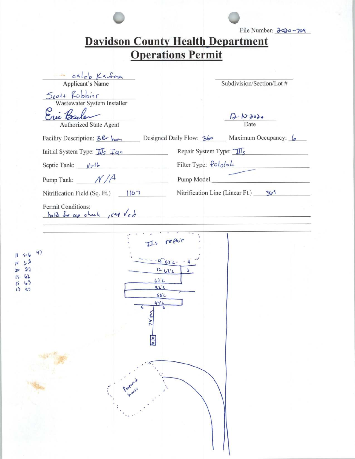|                                                                    | <b>Davidson County Health Department</b><br><b>Operations Permit</b>      |
|--------------------------------------------------------------------|---------------------------------------------------------------------------|
|                                                                    |                                                                           |
| caleb Kaufma<br>Applicant's Name                                   | Subdivision/Section/Lot #                                                 |
| Scott Robbins                                                      |                                                                           |
| Wastewater System Installer                                        |                                                                           |
| Authorized State Agent                                             | $12 - 10 - 3020$<br>Date                                                  |
|                                                                    | Facility Description: 36 hom Designed Daily Flow: 36 Maximum Occupancy: 6 |
| Initial System Type: $\frac{1}{1/s}$ $\frac{1}{10}$ $\frac{1}{10}$ | Repair System Type: $\mathcal{I}_{\mathcal{S}}$                           |
| Septic Tank: $16^{-16}$<br><u> Alexandria (Alexandria)</u>         | Filter Type: <u>Pololok</u>                                               |
|                                                                    | Pump Tank: $\frac{\mathcal{N}}{\mathcal{A}}$ Pump Model                   |
|                                                                    | Nitrification Line (Linear Ft.) $\frac{365}{1}$                           |
| 1458<br>92<br>$\sqrt{ }$<br>57<br>ς<br>74                          | $115$ report<br>12632<br>3<br>$62^{\circ}$<br>22.1<br>$58^{\circ}$<br>476 |
| olo<br>Prot                                                        |                                                                           |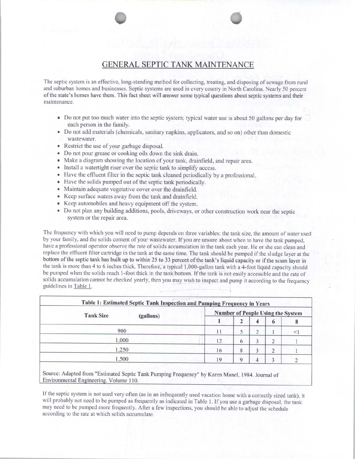## **GENERAL SEPTIC TANK MAINTENANCE**

The septic system is an effective, long-standing method for collecting, treating, and disposing of sewage from rural and suburban homes and businesses. Septic systems are used in every county in North Carolina. Nearly 50 percent of the state's homes have them. This fact sheet will answer some typical questions about septic systems and their maintenance.

- Do not put too much water into the septic system; typical water use is about 50 gallons per day for each person in the family.
- Do not add materials (chemicals, sanitary napkins, applicators, and so on) other than domestic wastewater.
- Restrict the use of your garbage disposal.
- Do not pour grease or cooking oils down the sink drain.
- Make a diagram showing the location of your tank, drainfield, and repair area.
- Install a watertight riser over the septic tank to simplify access.
- Have the effluent filter in the septic tank cleaned periodically by a professional.
- Have the solids pumped out of the septic tank periodically.
- Maintain adequate vegetative cover over the drainfield.
- Keep surface waters away from the tank and drainfield.
- Keep automobiles and heavy equipment off the system.
- Do not plan any building additions, pools, driveways, or other construction work near the septic system or the repair area.

The frequency with which you will need to pump depends on three variables: the tank size, the amount of water used by your family, and the solids content of your wastewater. If you are unsure about when to have the tank pumped, have a professional operator observe the rate of solids accumulation in the tank each year. He or she can clean and replace the effluent filter cartridge in the tank at the same time. The tank should be pumped if the sludge layer at the bottom of the septic tank has built up to within 25 to 33 percent of the tank's liquid capacity or if the scum layer in the tank is more than 4 to 6 inches thick. Therefore, a typical 1,000-gallon tank with a 4-foot liquid capacity should be pumped when the solids reach 1-foot thick in the tank bottom. If the tank is not easily accessible and the rate of solids accumulation cannot be checked yearly, then you may wish to inspect and pump it according to the frequency guidelines in Table 1.

| <b>Tank Size</b> | (gallons) | <b>Number of People Using the System</b> |   |   |        |  |
|------------------|-----------|------------------------------------------|---|---|--------|--|
|                  |           |                                          | 2 | Δ | 6      |  |
| 900              |           | 11                                       |   | 2 |        |  |
| 1,000            |           | 12                                       | 6 |   | റ<br>∠ |  |
| 1,250            |           | 16                                       | 8 |   | 2      |  |
| 1,500            |           | 19                                       |   |   |        |  |

Source: Adapted from "Estimated Septic Tank Pumping Frequency" by Karen Manel, 1984. Journal of Environmental Engineering. Volume 110.

If the septic system is not used very often (as in an infrequently used vacation home with a correctly sized tank), it will probably not need to be pumped as frequently as indicated in Table 1. If you use a garbage disposal, the tank may need to be pumped more frequently. After a few inspections, you should be able to adjust the schedule according to the rate at which solids accumulate.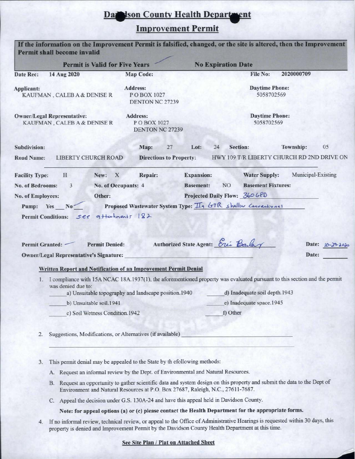Damson County Health Department

## Improvement Permit

| Permit shall become invalid                                                                                                             |                                                      |                                                                                                                                                                                                           |
|-----------------------------------------------------------------------------------------------------------------------------------------|------------------------------------------------------|-----------------------------------------------------------------------------------------------------------------------------------------------------------------------------------------------------------|
| <b>Permit is Valid for Five Years</b>                                                                                                   |                                                      | <b>No Expiration Date</b>                                                                                                                                                                                 |
| Date Rec:<br>14 Aug 2020                                                                                                                | <b>Map Code:</b>                                     | <b>File No:</b><br>2020000709                                                                                                                                                                             |
| Applicant:<br>KAUFMAN, CALEBA & DENISE R                                                                                                | Address:<br>POBOX 1027<br><b>DENTON NC 27239</b>     | <b>Daytime Phone:</b><br>5058702569                                                                                                                                                                       |
| <b>Owner/Legal Representative:</b><br>KAUFMAN, CALEBA & DENISE R                                                                        | Address:<br>POBOX 1027<br><b>DENTON NC 27239</b>     | <b>Daytime Phone:</b><br>5058702569                                                                                                                                                                       |
| <b>Subdivision:</b>                                                                                                                     | Map:<br>27                                           | 24<br>Section:<br><b>Township:</b><br>05<br>Lot:                                                                                                                                                          |
| <b>Road Name:</b><br>LIBERTY CHURCH ROAD                                                                                                | <b>Directions to Property:</b>                       | HWY 109 T/R LIBERTY CHURCH RD 2ND DRIVE ON                                                                                                                                                                |
| H<br>New: X<br><b>Facility Type:</b>                                                                                                    | Repair:                                              | Municipal-Existing<br><b>Expansion:</b><br><b>Water Supply:</b>                                                                                                                                           |
| 3<br><b>No. of Bedrooms:</b>                                                                                                            | No. of Occupants: 4                                  | NO <sub>1</sub><br><b>Basement Fixtures:</b><br><b>Basement:</b>                                                                                                                                          |
| No. of Employees:<br>Other:                                                                                                             |                                                      | Projected Daily Flow: 360 GPD                                                                                                                                                                             |
| Pump: Yes No                                                                                                                            |                                                      | Proposed Wastewater System Type: II9 GTR shellow Conventions!                                                                                                                                             |
| <b>Owner/Legal Representative's Signature:</b><br>Written Report and Notification of an Improvement Permit Denial<br>was denied due to: | a) Unsuitable topography and landscape position.1940 | Date:<br>1. I compliance with 15A NCAC 18A.1937(1), the aforementioned property was evaluated pursuant to this section and the permit<br>d) Inadequate soil depth.1943                                    |
| b) Unsuitable soil.1941                                                                                                                 |                                                      | e) Inadequate space.1945                                                                                                                                                                                  |
| c) Soil Wetness Condition.1942                                                                                                          |                                                      | f) Other                                                                                                                                                                                                  |
| Suggestions, Modifications, or Alternatives (if available)<br>2.                                                                        |                                                      |                                                                                                                                                                                                           |
| This permit denial may be appealed to the State by th efollowing methods:<br>3.                                                         |                                                      |                                                                                                                                                                                                           |
|                                                                                                                                         |                                                      | A. Request an informal review by the Dept. of Environmental and Natural Resources.                                                                                                                        |
| <b>B.</b>                                                                                                                               |                                                      | Request an opportunity to gather scientific data and system design on this property and submit the data to the Dept of<br>Environment and Natural Resources at P.O. Box 27687, Raleigh, N.C., 27611-7687. |
|                                                                                                                                         |                                                      | C. Appeal the decision under G.S. 130A-24 and have this appeal held in Davidson County.                                                                                                                   |
|                                                                                                                                         |                                                      | Note: for appeal options (a) or (c) please contact the Health Department for the appropriate forms.                                                                                                       |
| 4.                                                                                                                                      |                                                      | If no informal review, technical review, or appeal to the Office of Administrative Hearings is requested within 30 days, this                                                                             |
|                                                                                                                                         |                                                      | property is denied and Improvement Permit by the Davidson County Health Department at this time.                                                                                                          |